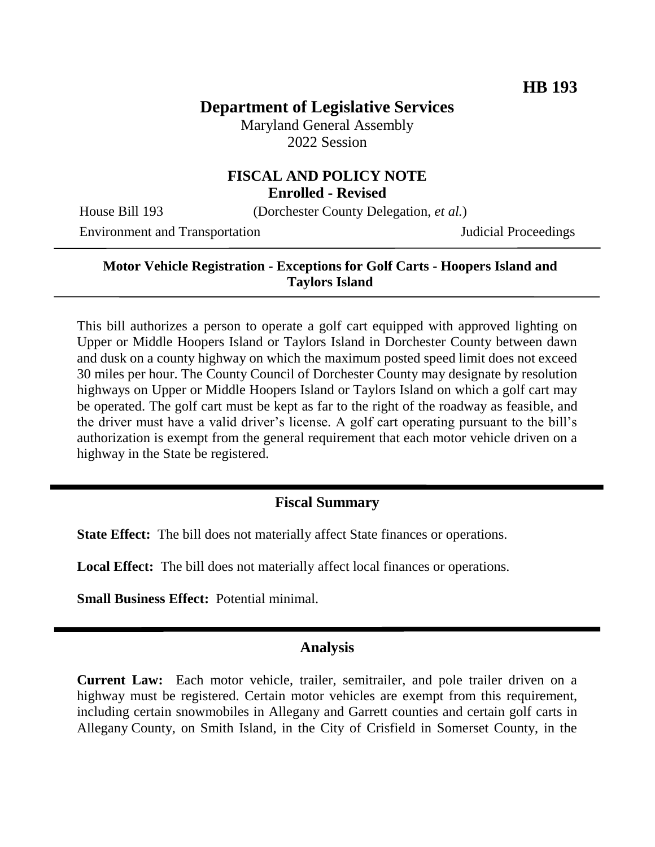## **Department of Legislative Services**

Maryland General Assembly 2022 Session

# **FISCAL AND POLICY NOTE**

**Enrolled - Revised**

House Bill 193 (Dorchester County Delegation, *et al.*)

Environment and Transportation **Internal Acceptual Proceedings** Judicial Proceedings

#### **Motor Vehicle Registration - Exceptions for Golf Carts - Hoopers Island and Taylors Island**

This bill authorizes a person to operate a golf cart equipped with approved lighting on Upper or Middle Hoopers Island or Taylors Island in Dorchester County between dawn and dusk on a county highway on which the maximum posted speed limit does not exceed 30 miles per hour. The County Council of Dorchester County may designate by resolution highways on Upper or Middle Hoopers Island or Taylors Island on which a golf cart may be operated. The golf cart must be kept as far to the right of the roadway as feasible, and the driver must have a valid driver's license. A golf cart operating pursuant to the bill's authorization is exempt from the general requirement that each motor vehicle driven on a highway in the State be registered.

### **Fiscal Summary**

**State Effect:** The bill does not materially affect State finances or operations.

**Local Effect:** The bill does not materially affect local finances or operations.

**Small Business Effect:** Potential minimal.

#### **Analysis**

**Current Law:** Each motor vehicle, trailer, semitrailer, and pole trailer driven on a highway must be registered. Certain motor vehicles are exempt from this requirement, including certain snowmobiles in Allegany and Garrett counties and certain golf carts in Allegany County, on Smith Island, in the City of Crisfield in Somerset County, in the